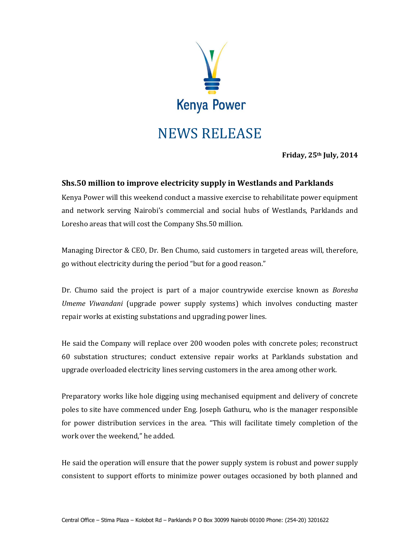

**Friday, 25th July, 2014**

## **Shs.50 million to improve electricity supply in Westlands and Parklands**

Kenya Power will this weekend conduct a massive exercise to rehabilitate power equipment and network serving Nairobi's commercial and social hubs of Westlands, Parklands and Loresho areas that will cost the Company Shs.50 million.

Managing Director & CEO, Dr. Ben Chumo, said customers in targeted areas will, therefore, go without electricity during the period "but for a good reason."

Dr. Chumo said the project is part of a major countrywide exercise known as *Boresha Umeme Viwandani* (upgrade power supply systems) which involves conducting master repair works at existing substations and upgrading power lines.

He said the Company will replace over 200 wooden poles with concrete poles; reconstruct 60 substation structures; conduct extensive repair works at Parklands substation and upgrade overloaded electricity lines serving customers in the area among other work.

Preparatory works like hole digging using mechanised equipment and delivery of concrete poles to site have commenced under Eng. Joseph Gathuru, who is the manager responsible for power distribution services in the area. "This will facilitate timely completion of the work over the weekend," he added.

He said the operation will ensure that the power supply system is robust and power supply consistent to support efforts to minimize power outages occasioned by both planned and